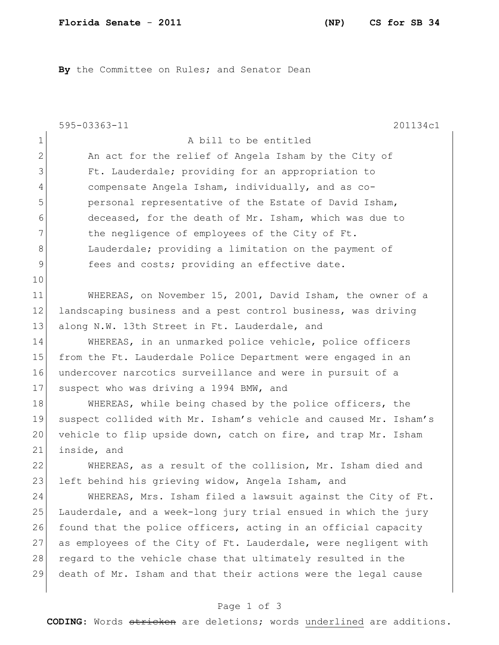**By** the Committee on Rules; and Senator Dean

|              | 595-03363-11<br>201134c1                                         |
|--------------|------------------------------------------------------------------|
| 1            | A bill to be entitled                                            |
| $\mathbf{2}$ | An act for the relief of Angela Isham by the City of             |
| 3            | Ft. Lauderdale; providing for an appropriation to                |
| 4            | compensate Angela Isham, individually, and as co-                |
| 5            | personal representative of the Estate of David Isham,            |
| 6            | deceased, for the death of Mr. Isham, which was due to           |
| 7            | the negligence of employees of the City of Ft.                   |
| 8            | Lauderdale; providing a limitation on the payment of             |
| 9            | fees and costs; providing an effective date.                     |
| 10           |                                                                  |
| 11           | WHEREAS, on November 15, 2001, David Isham, the owner of a       |
| 12           | landscaping business and a pest control business, was driving    |
| 13           | along N.W. 13th Street in Ft. Lauderdale, and                    |
| 14           | WHEREAS, in an unmarked police vehicle, police officers          |
| 15           | from the Ft. Lauderdale Police Department were engaged in an     |
| 16           | undercover narcotics surveillance and were in pursuit of a       |
| 17           | suspect who was driving a 1994 BMW, and                          |
| 18           | WHEREAS, while being chased by the police officers, the          |
| 19           | suspect collided with Mr. Isham's vehicle and caused Mr. Isham's |
| 20           | vehicle to flip upside down, catch on fire, and trap Mr. Isham   |
| 21           | inside, and                                                      |
| 22           | WHEREAS, as a result of the collision, Mr. Isham died and        |
| 23           | left behind his grieving widow, Angela Isham, and                |
| 24           | WHEREAS, Mrs. Isham filed a lawsuit against the City of Ft.      |
| 25           | Lauderdale, and a week-long jury trial ensued in which the jury  |
| 26           | found that the police officers, acting in an official capacity   |
| 27           | as employees of the City of Ft. Lauderdale, were negligent with  |
| 28           | regard to the vehicle chase that ultimately resulted in the      |
| 29           | death of Mr. Isham and that their actions were the legal cause   |
|              |                                                                  |

## Page 1 of 3

**CODING**: Words stricken are deletions; words underlined are additions.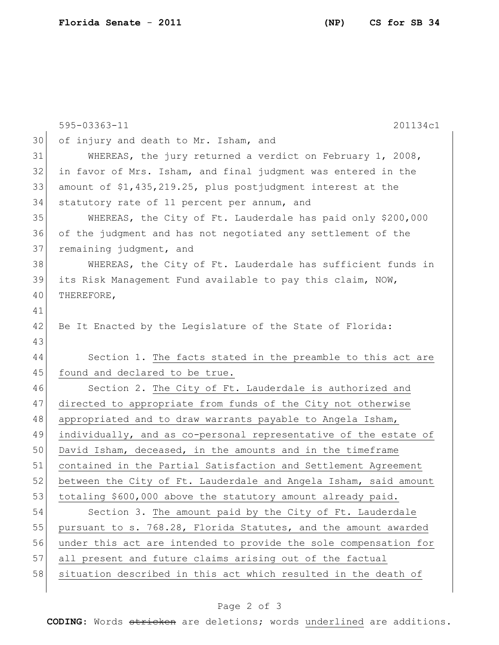|    | 595-03363-11<br>201134c1                                         |
|----|------------------------------------------------------------------|
| 30 | of injury and death to Mr. Isham, and                            |
| 31 | WHEREAS, the jury returned a verdict on February 1, 2008,        |
| 32 | in favor of Mrs. Isham, and final judgment was entered in the    |
| 33 | amount of \$1,435,219.25, plus postjudgment interest at the      |
| 34 | statutory rate of 11 percent per annum, and                      |
| 35 | WHEREAS, the City of Ft. Lauderdale has paid only \$200,000      |
| 36 | of the judgment and has not negotiated any settlement of the     |
| 37 | remaining judgment, and                                          |
| 38 | WHEREAS, the City of Ft. Lauderdale has sufficient funds in      |
| 39 | its Risk Management Fund available to pay this claim, NOW,       |
| 40 | THEREFORE,                                                       |
| 41 |                                                                  |
| 42 | Be It Enacted by the Legislature of the State of Florida:        |
| 43 |                                                                  |
| 44 | Section 1. The facts stated in the preamble to this act are      |
| 45 | found and declared to be true.                                   |
| 46 | Section 2. The City of Ft. Lauderdale is authorized and          |
| 47 | directed to appropriate from funds of the City not otherwise     |
| 48 | appropriated and to draw warrants payable to Angela Isham,       |
| 49 | individually, and as co-personal representative of the estate of |
| 50 | David Isham, deceased, in the amounts and in the timeframe       |
| 51 | contained in the Partial Satisfaction and Settlement Agreement   |
| 52 | between the City of Ft. Lauderdale and Angela Isham, said amount |
| 53 | totaling \$600,000 above the statutory amount already paid.      |
| 54 | Section 3. The amount paid by the City of Ft. Lauderdale         |
| 55 | pursuant to s. 768.28, Florida Statutes, and the amount awarded  |
| 56 | under this act are intended to provide the sole compensation for |
| 57 | all present and future claims arising out of the factual         |
| 58 | situation described in this act which resulted in the death of   |
|    |                                                                  |

## Page 2 of 3

**CODING**: Words stricken are deletions; words underlined are additions.